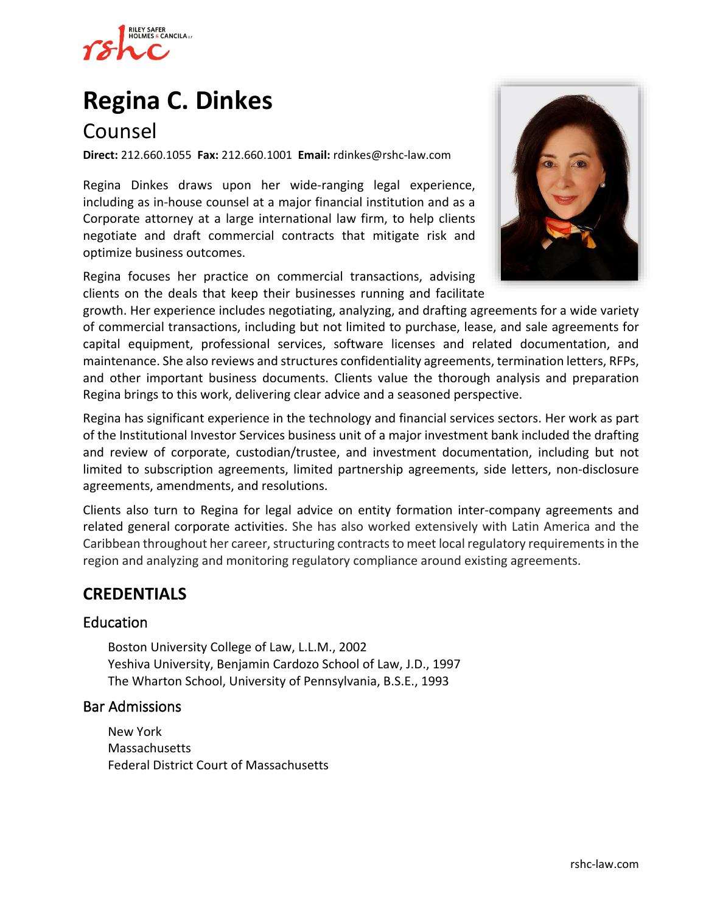

# **[Regina C. Dinkes](https://www.rshc-law.com/attorneys/attorney/regina-c.-dinkes)**

## Counsel

**Direct:** 212.660.1055 **Fax:** 212.660.1001 **Email:** rdinkes@rshc-law.com

Regina Dinkes draws upon her wide-ranging legal experience, including as in-house counsel at a major financial institution and as a Corporate attorney at a large international law firm, to help clients negotiate and draft commercial contracts that mitigate risk and optimize business outcomes.

Regina focuses her practice on commercial transactions, advising clients on the deals that keep their businesses running and facilitat[e](https://www.rshc-law.com/attorneys/attorney/regina-c.-dinkes) 



growth. Her experience includes negotiating, analyzing, and drafting agreements for a wide variety of commercial transactions, including but not limited to purchase, lease, and sale agreements for capital equipment, professional services, software licenses and related documentation, and maintenance. She also reviews and structures confidentiality agreements, termination letters, RFPs, and other important business documents. Clients value the thorough analysis and preparation Regina brings to this work, delivering clear advice and a seasoned perspective.

Regina has significant experience in the technology and financial services sectors. Her work as part of the Institutional Investor Services business unit of a major investment bank included the drafting and review of corporate, custodian/trustee, and investment documentation, including but not limited to subscription agreements, limited partnership agreements, side letters, non-disclosure agreements, amendments, and resolutions.

Clients also turn to Regina for legal advice on entity formation inter-company agreements and related general corporate activities. She has also worked extensively with Latin America and the Caribbean throughout her career, structuring contracts to meet local regulatory requirements in the region and analyzing and monitoring regulatory compliance around existing agreements.

## **CREDENTIALS**

#### Education

Boston University College of Law, L.L.M., 2002 Yeshiva University, Benjamin Cardozo School of Law, J.D., 1997 The Wharton School, University of Pennsylvania, B.S.E., 1993

#### Bar Admissions

New York Massachusetts Federal District Court of Massachusetts